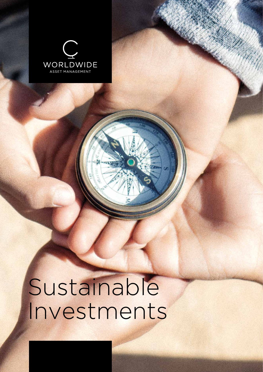

# Sustainable Investments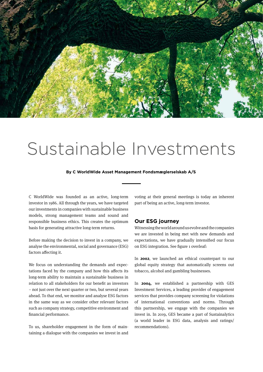

## Sustainable Investments

**By C WorldWide Asset Management Fondsmæglerselskab A/S**

C WorldWide was founded as an active, long-term investor in 1986. All through the years, we have targeted our investments in companies with sustainable business models, strong management teams and sound and responsible business ethics. This creates the optimum basis for generating attractive long-term returns.

Before making the decision to invest in a company, we analyse the environmental, social and governance (ESG) factors affecting it.

We focus on understanding the demands and expectations faced by the company and how this affects its long-term ability to maintain a sustainable business in relation to all stakeholders for our benefit as investors – not just over the next quarter or two, but several years ahead. To that end, we monitor and analyse ESG factors in the same way as we consider other relevant factors such as company strategy, competitive environment and financial performance.

To us, shareholder engagement in the form of maintaining a dialogue with the companies we invest in and voting at their general meetings is today an inherent part of being an active, long-term investor.

#### **Our ESG journey**

Witnessing the world around us evolve and the companies we are invested in being met with new demands and expectations, we have gradually intensified our focus on ESG integration. See figure 1 overleaf:

In **2002**, we launched an ethical counterpart to our global equity strategy that automatically screens out tobacco, alcohol and gambling businesses.

In **2004**, we established a partnership with GES Investment Services, a leading provider of engagement services that provides company screening for violations of international conventions and norms. Through this partnership, we engage with the companies we invest in. In 2019, GES became a part of Sustainalytics (a world leader in ESG data, analysis and ratings/ recommendations).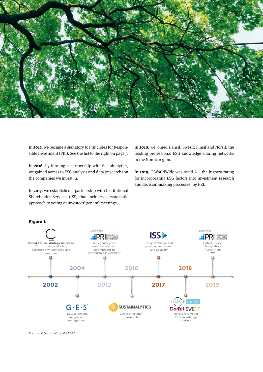

In **2012**, we became a signatory to Principles for Responsible Investment (PRI). See the list to the right on page 5.

In **2016**, by forming a partnership with Sustainalytics, we gained access to ESG analysis and data (research) on the companies we invest in.

In **2017**, we established a partnership with Institutional Shareholder Services (ISS) that includes a systematic approach to voting at investees' general meetings.

In **2018**, we joined Dansif, Swesif, Finsif and Norsif, the leading professional ESG knowledge sharing networks in the Nordic region.

In **2019**, C WorldWide was rated A+, the highest rating for incorporating ESG factors into investment research and decision-making processes, by PRI.



**Figure 1:** 

Source: C WorldWide, Q1 2020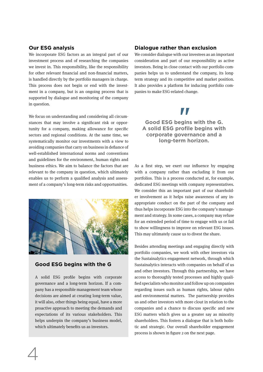#### **Our ESG analysis**

We incorporate ESG factors as an integral part of our investment process and of researching the companies we invest in. This responsibility, like the responsibility for other relevant financial and non-financial matters, is handled directly by the portfolio managers in charge. This process does not begin or end with the investment in a company, but is an ongoing process that is supported by dialogue and monitoring of the company in question.

We focus on understanding and considering all circumstances that may involve a significant risk or opportunity for a company, making allowance for specific sectors and regional conditions. At the same time, we systematically monitor our investments with a view to avoiding companies that carry on business in defiance of well-established international norms and conventions and guidelines for the environment, human rights and business ethics. We aim to balance the factors that are relevant to the company in question, which ultimately enables us to perform a qualified analysis and assessment of a company's long-term risks and opportunities.



#### **Good ESG begins with the G**

A solid ESG profile begins with corporate governance and a long-term horizon. If a company has a responsible management team whose decisions are aimed at creating long-term value, it will also, other things being equal, have a more proactive approach to meeting the demands and expectations of its various stakeholders. This helps underpin the company's business model, which ultimately benefits us as investors.

4

### **Dialogue rather than exclusion**

We consider dialogue with our investees as an important consideration and part of our responsibility as active investors. Being in close contact with our portfolio companies helps us to understand the company, its longterm strategy and its competitive and market position. It also provides a platform for inducing portfolio companies to make ESG-related change.

# *II*<br>""

### **Good ESG begins with the G. A solid ESG profile begins with corporate governance and a long-term horizon.**

As a first step, we exert our influence by engaging with a company rather than excluding it from our portfolios. This is a process conducted at, for example, dedicated ESG meetings with company representatives. We consider this an important part of our shareholder involvement as it helps raise awareness of any inappropriate conduct on the part of the company and thus helps incorporate ESG into the company's management and strategy. In some cases, a company may refuse for an extended period of time to engage with us or fail to show willingness to improve on relevant ESG issues. This may ultimately cause us to divest the share.

Besides attending meetings and engaging directly with portfolio companies, we work with other investors via the Sustainalytics engagement network, through which Sustainalytics interacts with companies on behalf of us and other investors. Through this partnership, we have access to thoroughly tested processes and highly qualified specialists who monitor and follow up on companies regarding issues such as human rights, labour rights and environmental matters. The partnership provides us and other investors with more clout in relation to the companies and a chance to discuss specific and new ESG matters which gives us a greater say as minority shareholders. This fosters a dialogue that is both holistic and strategic. Our overall shareholder engagement process is shown in figure 2 on the next page.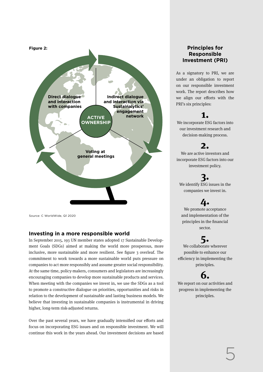

Source: C WorldWide, Q1 2020

#### **Investing in a more responsible world**

In September 2015, 193 UN member states adopted 17 Sustainable Development Goals (SDGs) aimed at making the world more prosperous, more inclusive, more sustainable and more resilient. See figure 3 overleaf. The commitment to work towards a more sustainable world puts pressure on companies to act more responsibly and assume greater social responsibility. At the same time, policy-makers, consumers and legislators are increasingly encouraging companies to develop more sustainable products and services. When meeting with the companies we invest in, we use the SDGs as a tool to promote a constructive dialogue on priorities, opportunities and risks in relation to the development of sustainable and lasting business models. We believe that investing in sustainable companies is instrumental in driving higher, long-term risk-adjusted returns.

Over the past several years, we have gradually intensified our efforts and focus on incorporating ESG issues and on responsible investment. We will continue this work in the years ahead. Our investment decisions are based

## **Principles for Responsible Investment (PRI)**

As a signatory to PRI, we are under an obligation to report on our responsible investment work. The report describes how we align our efforts with the PRI's six principles:

## **1.**

We incorporate ESG factors into our investment research and decision-making process.

## **2.**

We are active investors and incorporate ESG factors into our investment policy.

## **3.**

We identify ESG issues in the companies we invest in.

## **4.**

We promote acceptance and implementation of the principles in the financial sector.

## **5.**

We collaborate wherever possible to enhance our efficiency in implementing the principles.

## **6.**

We report on our activities and progress in implementing the principles.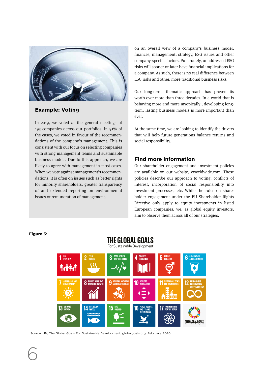

## **Example: Voting**

In 2019, we voted at the general meetings of 193 companies across our portfolios. In 91% of the cases, we voted in favour of the recommendations of the company's management. This is consistent with our focus on selecting companies with strong management teams and sustainable business models. Due to this approach, we are likely to agree with management in most cases. When we vote against management's recommendations, it is often on issues such as better rights for minority shareholders, greater transparency of and extended reporting on environmental issues or remuneration of management.

on an overall view of a company's business model, finances, management, strategy, ESG issues and other company-specific factors. Put crudely, unaddressed ESG risks will sooner or later have financial implications for a company. As such, there is no real difference between ESG risks and other, more traditional business risks.

Our long-term, thematic approach has proven its worth over more than three decades. In a world that is behaving more and more myopically , developing longterm, lasting business models is more important than ever.

At the same time, we are looking to identify the drivers that will help future generations balance returns and social responsibility.

## **Find more information**

Our shareholder engagement and investment policies are available on our website, cworldwide.com. These policies describe our approach to voting, conflicts of interest, incorporation of social responsibility into investment processes, etc. While the rules on shareholder engagement under the EU Shareholder Rights Directive only apply to equity investments in listed European companies, we, as global equity investors, aim to observe them across all of our strategies.

#### For Sustainable Development 1<sup>NO</sup><br>1<sup>NO</sup><br>POVERTY  $\boldsymbol{\Lambda}$  QUALITY ZERO<br>HUNGER  $\bf{5}$  Gender CLEAN WA<br>And Sann **8** DECENT WORK AND 10 REDUCED **9** INDUSTRY, INNOVATIO PEACE, JUSTICE<br>And Strong<br>Institutions 13 GLIMATE  $15$  LIFE **17 PARTNERSHIPS** 1/1 16 THE GLOBAL GOALS

THE GLOBAL GOALS

**Figure 3:** 

6

Source: UN, The Global Goals For Sustainable Development, globalgoals.org, February. 2020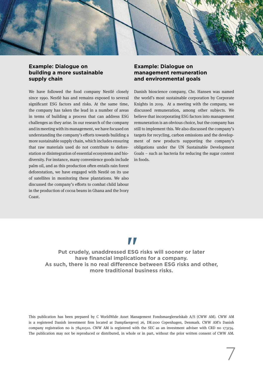

## **Example: Dialogue on building a more sustainable supply chain**

We have followed the food company Nestlé closely since 1990. Nestlé has and remains exposed to several significant ESG factors and risks. At the same time, the company has taken the lead in a number of areas in terms of building a process that can address ESG challenges as they arise. In our research of the company and in meeting with its management, we have focused on understanding the company's efforts towards building a more sustainable supply chain, which includes ensuring that raw materials used do not contribute to deforestation or disintegration of essential ecosystems and biodiversity. For instance, many convenience goods include palm oil, and as this production often entails rain forest deforestation, we have engaged with Nestlé on its use of satellites in monitoring these plantations. We also discussed the company's efforts to combat child labour in the production of cocoa beans in Ghana and the Ivory Coast.

## **Example: Dialogue on management remuneration and environmental goals**

Danish bioscience company, Chr. Hansen was named the world's most sustainable corporation by Corporate Knights in 2019. At a meeting with the company, we discussed remuneration, among other subjects. We believe that incorporating ESG factors into management remuneration is an obvious choice, but the company has still to implement this. We also discussed the company's targets for recycling, carbon emissions and the development of new products supporting the company's obligations under the UN Sustainable Development Goals – such as bacteria for reducing the sugar content in foods.

## "

**Put crudely, unaddressed ESG risks will sooner or later have financial implications for a company. As such, there is no real difference between ESG risks and other, more traditional business risks.**

This publication has been prepared by C WorldWide Asset Management Fondsmaeglerselskab A/S (CWW AM). CWW AM is a registered Danish investment firm located at Dampfaergevej 26, DK-2100 Copenhagen, Denmark. CWW AM's Danish company registration no is 78420510. CWW AM is registered with the SEC as an investment adviser with CRD no 173234. The publication may not be reproduced or distributed, in whole or in part, without the prior written consent of CWW AM.